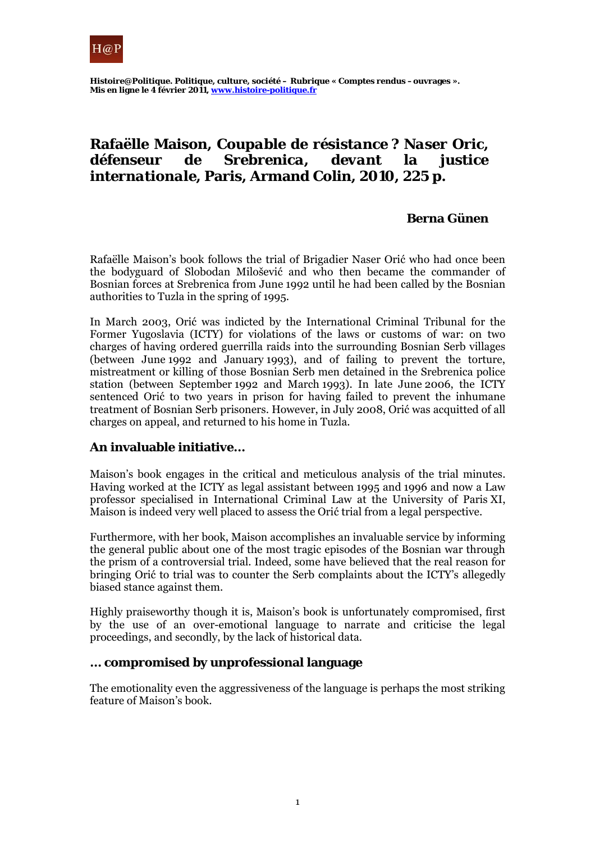

# **Rafaëlle Maison,** *Coupable de résistance ? Naser Oric, défenseur de Srebrenica, devant la justice internationale***, Paris, Armand Colin, 2010, 225 p.**

## **Berna Günen**

Rafaëlle Maison's book follows the trial of Brigadier Naser Orić who had once been the bodyguard of Slobodan Milošević and who then became the commander of Bosnian forces at Srebrenica from June 1992 until he had been called by the Bosnian authorities to Tuzla in the spring of 1995.

In March 2003, Orić was indicted by the International Criminal Tribunal for the Former Yugoslavia (ICTY) for violations of the laws or customs of war: on two charges of having ordered guerrilla raids into the surrounding Bosnian Serb villages (between June 1992 and January 1993), and of failing to prevent the torture, mistreatment or killing of those Bosnian Serb men detained in the Srebrenica police station (between September 1992 and March 1993). In late June 2006, the ICTY sentenced Orić to two years in prison for having failed to prevent the inhumane treatment of Bosnian Serb prisoners. However, in July 2008, Orić was acquitted of all charges on appeal, and returned to his home in Tuzla.

## **An invaluable initiative…**

Maison's book engages in the critical and meticulous analysis of the trial minutes. Having worked at the ICTY as legal assistant between 1995 and 1996 and now a Law professor specialised in International Criminal Law at the University of Paris XI, Maison is indeed very well placed to assess the Orić trial from a legal perspective.

Furthermore, with her book, Maison accomplishes an invaluable service by informing the general public about one of the most tragic episodes of the Bosnian war through the prism of a controversial trial. Indeed, some have believed that the real reason for bringing Orić to trial was to counter the Serb complaints about the ICTY's allegedly biased stance against them.

Highly praiseworthy though it is, Maison's book is unfortunately compromised, first by the use of an over-emotional language to narrate and criticise the legal proceedings, and secondly, by the lack of historical data.

#### **… compromised by unprofessional language**

The emotionality even the aggressiveness of the language is perhaps the most striking feature of Maison's book.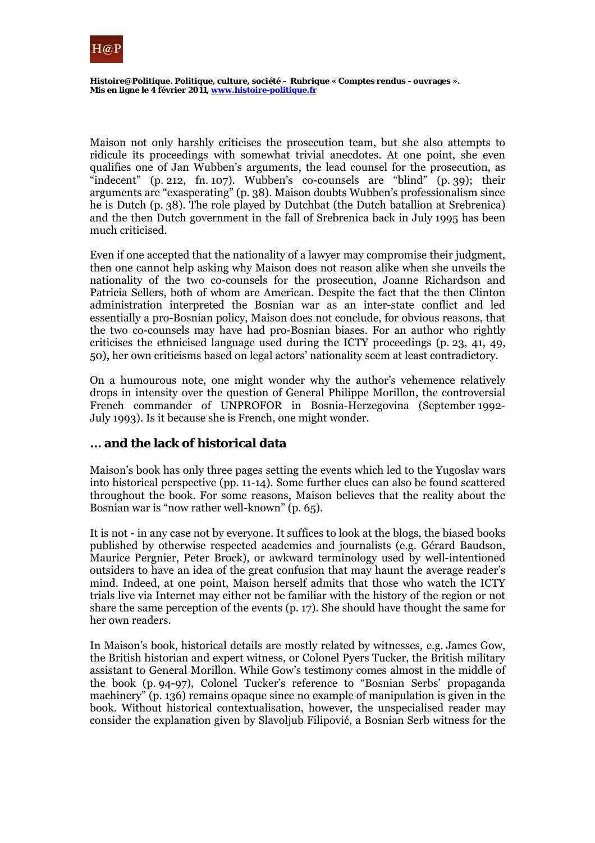

Maison not only harshly criticises the prosecution team, but she also attempts to ridicule its proceedings with somewhat trivial anecdotes. At one point, she even qualifies one of Jan Wubben's arguments, the lead counsel for the prosecution, as "indecent" (p. 212, fn. 107). Wubben's co-counsels are "blind" (p. 39); their arguments are "exasperating" (p. 38). Maison doubts Wubben's professionalism since he is Dutch (p. 38). The role played by Dutchbat (the Dutch batallion at Srebrenica) and the then Dutch government in the fall of Srebrenica back in July 1995 has been much criticised.

Even if one accepted that the nationality of a lawyer may compromise their judgment, then one cannot help asking why Maison does not reason alike when she unveils the nationality of the two co-counsels for the prosecution, Joanne Richardson and Patricia Sellers, both of whom are American. Despite the fact that the then Clinton administration interpreted the Bosnian war as an inter-state conflict and led essentially a pro-Bosnian policy, Maison does not conclude, for obvious reasons, that the two co-counsels may have had pro-Bosnian biases. For an author who rightly criticises the ethnicised language used during the ICTY proceedings (p. 23, 41, 49, 50), her own criticisms based on legal actors' nationality seem at least contradictory.

On a humourous note, one might wonder why the author's vehemence relatively drops in intensity over the question of General Philippe Morillon, the controversial French commander of UNPROFOR in Bosnia-Herzegovina (September 1992- July 1993). Is it because she is French, one might wonder.

#### **… and the lack of historical data**

Maison's book has only three pages setting the events which led to the Yugoslav wars into historical perspective (pp. 11-14). Some further clues can also be found scattered throughout the book. For some reasons, Maison believes that the reality about the Bosnian war is "now rather well-known" (p. 65).

It is not - in any case not by everyone. It suffices to look at the blogs, the biased books published by otherwise respected academics and journalists (e.g. Gérard Baudson, Maurice Pergnier, Peter Brock), or awkward terminology used by well-intentioned outsiders to have an idea of the great confusion that may haunt the average reader's mind. Indeed, at one point, Maison herself admits that those who watch the ICTY trials live via Internet may either not be familiar with the history of the region or not share the same perception of the events (p. 17). She should have thought the same for her own readers.

In Maison's book, historical details are mostly related by witnesses, e.g. James Gow, the British historian and expert witness, or Colonel Pyers Tucker, the British military assistant to General Morillon. While Gow's testimony comes almost in the middle of the book (p. 94-97), Colonel Tucker's reference to "Bosnian Serbs' propaganda machinery" (p. 136) remains opaque since no example of manipulation is given in the book. Without historical contextualisation, however, the unspecialised reader may consider the explanation given by Slavoljub Filipović, a Bosnian Serb witness for the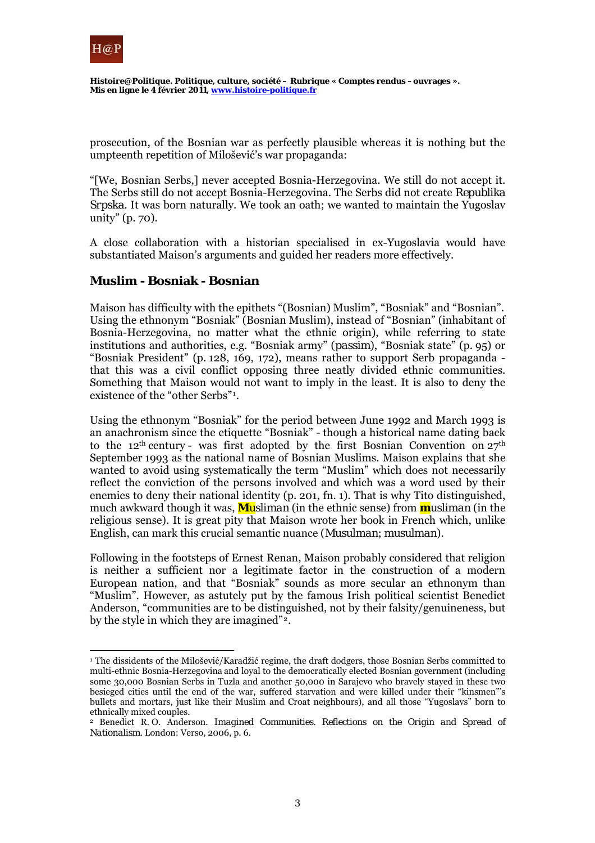

 $\overline{a}$ 

*Histoire@Politique. Politique, culture, société* **– Rubrique « Comptes rendus –ouvrages ». Mis en ligne le 4 février 2011, www.histoire-politique.fr**

prosecution, of the Bosnian war as perfectly plausible whereas it is nothing but the umpteenth repetition of Milošević's war propaganda:

"[We, Bosnian Serbs,] never accepted Bosnia-Herzegovina. We still do not accept it. The Serbs still do not accept Bosnia-Herzegovina. The Serbs did not create *Republika Srpska*. It was born naturally. We took an oath; we wanted to maintain the Yugoslav unity" (p. 70).

A close collaboration with a historian specialised in ex-Yugoslavia would have substantiated Maison's arguments and guided her readers more effectively.

## **Muslim - Bosniak - Bosnian**

Maison has difficulty with the epithets "(Bosnian) Muslim", "Bosniak" and "Bosnian". Using the ethnonym "Bosniak" (Bosnian Muslim), instead of "Bosnian" (inhabitant of Bosnia-Herzegovina, no matter what the ethnic origin), while referring to state institutions and authorities, e.g. "Bosniak army" (*passim*), "Bosniak state" (p. 95) or "Bosniak President" (p. 128, 169, 172), means rather to support Serb propaganda that this was a civil conflict opposing three neatly divided ethnic communities. Something that Maison would not want to imply in the least. It is also to deny the existence of the "other Serbs"[1](#page-2-0).

Using the ethnonym "Bosniak" for the period between June 1992 and March 1993 is an anachronism since the etiquette "Bosniak" - though a historical name dating back to the 12<sup>th</sup> century - was first adopted by the first Bosnian Convention on  $27<sup>th</sup>$ September 1993 as the national name of Bosnian Muslims. Maison explains that she wanted to avoid using systematically the term "Muslim" which does not necessarily reflect the conviction of the persons involved and which was a word used by their enemies to deny their national identity (p. 201, fn. 1). That is why Tito distinguished, much awkward though it was, *Musliman* (in the ethnic sense) from *musliman* (in the religious sense). It is great pity that Maison wrote her book in French which, unlike English, can mark this crucial semantic nuance (*Musulman*; *musulman*).

Following in the footsteps of Ernest Renan, Maison probably considered that religion is neither a sufficient nor a legitimate factor in the construction of a modern European nation, and that "Bosniak" sounds as more secular an ethnonym than "Muslim". However, as astutely put by the famous Irish political scientist Benedict Anderson, "communities are to be distinguished, not by their falsity/genuineness, but by the style in which they are imagined"[2](#page-2-1).

<span id="page-2-0"></span><sup>1</sup> The dissidents of the Milošević/Karadžić regime, the draft dodgers, those Bosnian Serbs committed to multi-ethnic Bosnia-Herzegovina and loyal to the democratically elected Bosnian government (including some 30,000 Bosnian Serbs in Tuzla and another 50,000 in Sarajevo who bravely stayed in these two besieged cities until the end of the war, suffered starvation and were killed under their "kinsmen"'s bullets and mortars, just like their Muslim and Croat neighbours), and all those "Yugoslavs" born to ethnically mixed couples.

<span id="page-2-1"></span><sup>2</sup> Benedict R. O. Anderson. *Imagined Communities. Reflections on the Origin and Spread of Nationalism*. London: Verso, 2006, p. 6.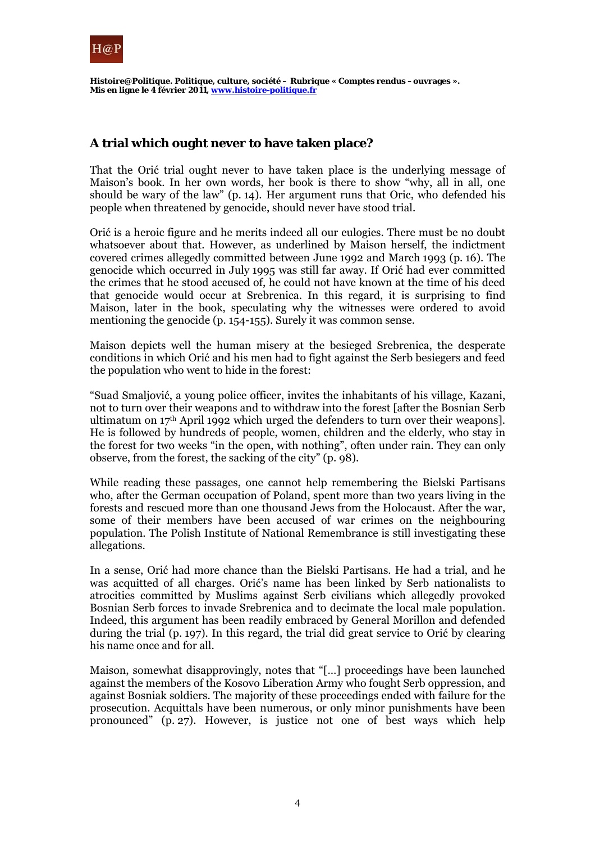

# **A trial which ought never to have taken place?**

That the Orić trial ought never to have taken place is the underlying message of Maison's book. In her own words, her book is there to show "why, all in all, one should be wary of the law" (p. 14). Her argument runs that Oric, who defended his people when threatened by genocide, should never have stood trial.

Orić is a heroic figure and he merits indeed all our eulogies. There must be no doubt whatsoever about that. However, as underlined by Maison herself, the indictment covered crimes allegedly committed between June 1992 and March 1993 (p. 16). The genocide which occurred in July 1995 was still far away. If Orić had ever committed the crimes that he stood accused of, he could not have known at the time of his deed that genocide would occur at Srebrenica. In this regard, it is surprising to find Maison, later in the book, speculating why the witnesses were ordered to avoid mentioning the genocide (p. 154-155). Surely it was common sense.

Maison depicts well the human misery at the besieged Srebrenica, the desperate conditions in which Orić and his men had to fight against the Serb besiegers and feed the population who went to hide in the forest:

"Suad Smaljović, a young police officer, invites the inhabitants of his village, Kazani, not to turn over their weapons and to withdraw into the forest [after the Bosnian Serb ultimatum on 17<sup>th</sup> April 1992 which urged the defenders to turn over their weapons]. He is followed by hundreds of people, women, children and the elderly, who stay in the forest for two weeks "in the open, with nothing", often under rain. They can only observe, from the forest, the sacking of the city" (p. 98).

While reading these passages, one cannot help remembering the Bielski Partisans who, after the German occupation of Poland, spent more than two years living in the forests and rescued more than one thousand Jews from the Holocaust. After the war, some of their members have been accused of war crimes on the neighbouring population. The Polish Institute of National Remembrance is still investigating these allegations.

In a sense, Orić had more chance than the Bielski Partisans. He had a trial, and he was acquitted of all charges. Orić's name has been linked by Serb nationalists to atrocities committed by Muslims against Serb civilians which allegedly provoked Bosnian Serb forces to invade Srebrenica and to decimate the local male population. Indeed, this argument has been readily embraced by General Morillon and defended during the trial (p. 197). In this regard, the trial did great service to Orić by clearing his name once and for all.

Maison, somewhat disapprovingly, notes that "[…] proceedings have been launched against the members of the Kosovo Liberation Army who fought Serb oppression, and against Bosniak soldiers. The majority of these proceedings ended with failure for the prosecution. Acquittals have been numerous, or only minor punishments have been pronounced" (p. 27). However, is justice not one of best ways which help